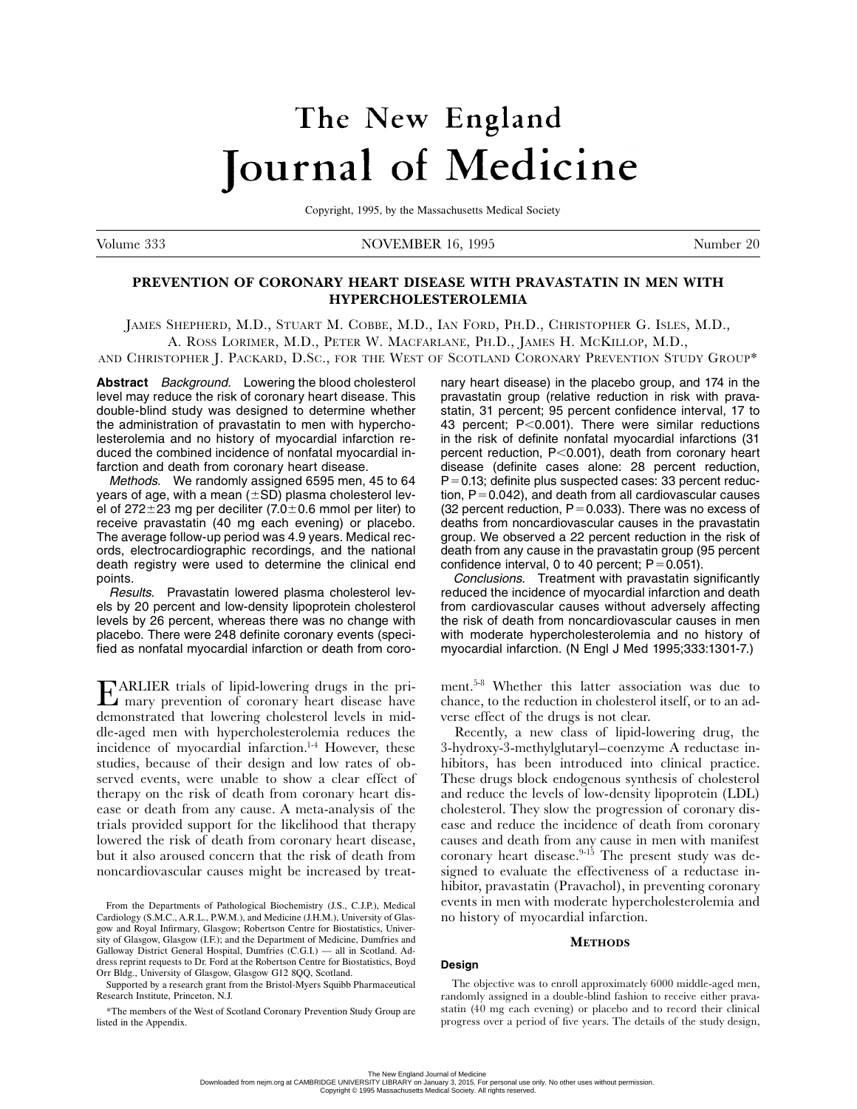# The New England Journal of Medicine

Copyright, 1995, by the Massachusetts Medical Society

# Volume 333 NOVEMBER 16, 1995 Number 20

# **PREVENTION OF CORONARY HEART DISEASE WITH PRAVASTATIN IN MEN WITH HYPERCHOLESTEROLEMIA**

JAMES SHEPHERD, M.D., STUART M. COBBE, M.D., IAN FORD, PH.D., CHRISTOPHER G. ISLES, M.D., A. ROSS LORIMER, M.D., PETER W. MACFARLANE, PH.D., JAMES H. MCKILLOP, M.D., AND CHRISTOPHER J. PACKARD, D.SC., FOR THE WEST OF SCOTLAND CORONARY PREVENTION STUDY GROUP\*

**Abstract** Background. Lowering the blood cholesterol level may reduce the risk of coronary heart disease. This double-blind study was designed to determine whether the administration of pravastatin to men with hypercholesterolemia and no history of myocardial infarction reduced the combined incidence of nonfatal myocardial infarction and death from coronary heart disease.

Methods. We randomly assigned 6595 men, 45 to 64 years of age, with a mean ( $\pm$ SD) plasma cholesterol level of 272 $\pm$ 23 mg per deciliter (7.0 $\pm$ 0.6 mmol per liter) to receive pravastatin (40 mg each evening) or placebo. The average follow-up period was 4.9 years. Medical records, electrocardiographic recordings, and the national death registry were used to determine the clinical end points.

Results. Pravastatin lowered plasma cholesterol levels by 20 percent and low-density lipoprotein cholesterol levels by 26 percent, whereas there was no change with placebo. There were 248 definite coronary events (specified as nonfatal myocardial infarction or death from coro-

EARLIER trials of lipid-lowering drugs in the pri-mary prevention of coronary heart disease have demonstrated that lowering cholesterol levels in middle-aged men with hypercholesterolemia reduces the incidence of myocardial infarction. $14$  However, these studies, because of their design and low rates of observed events, were unable to show a clear effect of therapy on the risk of death from coronary heart disease or death from any cause. A meta-analysis of the trials provided support for the likelihood that therapy lowered the risk of death from coronary heart disease, but it also aroused concern that the risk of death from noncardiovascular causes might be increased by treat-

Supported by a research grant from the Bristol-Myers Squibb Pharmaceutical Research Institute, Princeton, N.J.

\*The members of the West of Scotland Coronary Prevention Study Group are listed in the Appendix.

nary heart disease) in the placebo group, and 174 in the pravastatin group (relative reduction in risk with pravastatin, 31 percent; 95 percent confidence interval, 17 to 43 percent; P<0.001). There were similar reductions in the risk of definite nonfatal myocardial infarctions (31 percent reduction,  $P<0.001$ ), death from coronary heart disease (definite cases alone: 28 percent reduction,  $P=0.13$ ; definite plus suspected cases: 33 percent reduction,  $P=0.042$ ), and death from all cardiovascular causes (32 percent reduction,  $P=0.033$ ). There was no excess of deaths from noncardiovascular causes in the pravastatin group. We observed a 22 percent reduction in the risk of death from any cause in the pravastatin group (95 percent confidence interval, 0 to 40 percent;  $P=0.051$ .

Conclusions. Treatment with pravastatin significantly reduced the incidence of myocardial infarction and death from cardiovascular causes without adversely affecting the risk of death from noncardiovascular causes in men with moderate hypercholesterolemia and no history of myocardial infarction. (N Engl J Med 1995;333:1301-7.)

ment.5-8 Whether this latter association was due to chance, to the reduction in cholesterol itself, or to an adverse effect of the drugs is not clear.

Recently, a new class of lipid-lowering drug, the 3-hydroxy-3-methylglutaryl–coenzyme A reductase inhibitors, has been introduced into clinical practice. These drugs block endogenous synthesis of cholesterol and reduce the levels of low-density lipoprotein (LDL) cholesterol. They slow the progression of coronary disease and reduce the incidence of death from coronary causes and death from any cause in men with manifest coronary heart disease.<sup>9-15</sup> The present study was designed to evaluate the effectiveness of a reductase inhibitor, pravastatin (Pravachol), in preventing coronary events in men with moderate hypercholesterolemia and no history of myocardial infarction.

## **METHODS**

## **Design**

The objective was to enroll approximately 6000 middle-aged men, randomly assigned in a double-blind fashion to receive either pravastatin (40 mg each evening) or placebo and to record their clinical progress over a period of five years. The details of the study design,

From the Departments of Pathological Biochemistry (J.S., C.J.P.), Medical Cardiology (S.M.C., A.R.L., P.W.M.), and Medicine (J.H.M.), University of Glasgow and Royal Infirmary, Glasgow; Robertson Centre for Biostatistics, University of Glasgow, Glasgow (I.F.); and the Department of Medicine, Dumfries and Galloway District General Hospital, Dumfries (C.G.I.) — all in Scotland. Address reprint requests to Dr. Ford at the Robertson Centre for Biostatistics, Boyd Orr Bldg., University of Glasgow, Glasgow G12 8QQ, Scotland.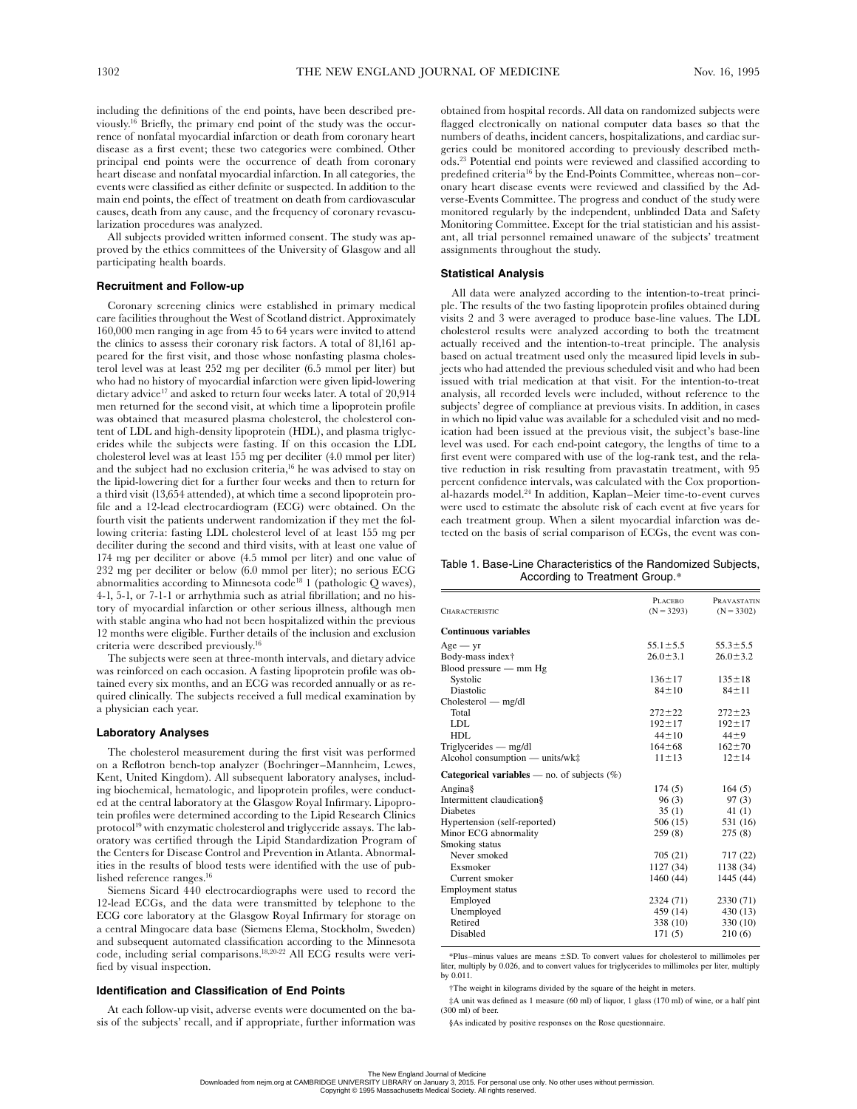including the definitions of the end points, have been described previously.<sup>16</sup> Briefly, the primary end point of the study was the occurrence of nonfatal myocardial infarction or death from coronary heart disease as a first event; these two categories were combined. Other principal end points were the occurrence of death from coronary heart disease and nonfatal myocardial infarction. In all categories, the events were classified as either definite or suspected. In addition to the main end points, the effect of treatment on death from cardiovascular causes, death from any cause, and the frequency of coronary revascularization procedures was analyzed.

All subjects provided written informed consent. The study was approved by the ethics committees of the University of Glasgow and all participating health boards.

#### **Recruitment and Follow-up**

Coronary screening clinics were established in primary medical care facilities throughout the West of Scotland district. Approximately 160,000 men ranging in age from 45 to 64 years were invited to attend the clinics to assess their coronary risk factors. A total of 81,161 appeared for the first visit, and those whose nonfasting plasma cholesterol level was at least 252 mg per deciliter (6.5 mmol per liter) but who had no history of myocardial infarction were given lipid-lowering dietary advice<sup>17</sup> and asked to return four weeks later. A total of 20,914 men returned for the second visit, at which time a lipoprotein profile was obtained that measured plasma cholesterol, the cholesterol content of LDL and high-density lipoprotein (HDL), and plasma triglycerides while the subjects were fasting. If on this occasion the LDL cholesterol level was at least 155 mg per deciliter (4.0 mmol per liter) and the subject had no exclusion criteria,<sup>16</sup> he was advised to stay on the lipid-lowering diet for a further four weeks and then to return for a third visit (13,654 attended), at which time a second lipoprotein profile and a 12-lead electrocardiogram (ECG) were obtained. On the fourth visit the patients underwent randomization if they met the following criteria: fasting LDL cholesterol level of at least 155 mg per deciliter during the second and third visits, with at least one value of 174 mg per deciliter or above (4.5 mmol per liter) and one value of 232 mg per deciliter or below (6.0 mmol per liter); no serious ECG abnormalities according to Minnesota code18 1 (pathologic Q waves), 4-1, 5-1, or 7-1-1 or arrhythmia such as atrial fibrillation; and no history of myocardial infarction or other serious illness, although men with stable angina who had not been hospitalized within the previous 12 months were eligible. Further details of the inclusion and exclusion criteria were described previously.16

The subjects were seen at three-month intervals, and dietary advice was reinforced on each occasion. A fasting lipoprotein profile was obtained every six months, and an ECG was recorded annually or as required clinically. The subjects received a full medical examination by a physician each year.

## **Laboratory Analyses**

The cholesterol measurement during the first visit was performed on a Reflotron bench-top analyzer (Boehringer–Mannheim, Lewes, Kent, United Kingdom). All subsequent laboratory analyses, including biochemical, hematologic, and lipoprotein profiles, were conducted at the central laboratory at the Glasgow Royal Infirmary. Lipoprotein profiles were determined according to the Lipid Research Clinics protocol<sup>19</sup> with enzymatic cholesterol and triglyceride assays. The laboratory was certified through the Lipid Standardization Program of the Centers for Disease Control and Prevention in Atlanta. Abnormalities in the results of blood tests were identified with the use of published reference ranges.16

Siemens Sicard 440 electrocardiographs were used to record the 12-lead ECGs, and the data were transmitted by telephone to the ECG core laboratory at the Glasgow Royal Infirmary for storage on a central Mingocare data base (Siemens Elema, Stockholm, Sweden) and subsequent automated classification according to the Minnesota code, including serial comparisons.18,20-22 All ECG results were verified by visual inspection.

#### **Identification and Classification of End Points**

At each follow-up visit, adverse events were documented on the basis of the subjects' recall, and if appropriate, further information was obtained from hospital records. All data on randomized subjects were flagged electronically on national computer data bases so that the numbers of deaths, incident cancers, hospitalizations, and cardiac surgeries could be monitored according to previously described methods.23 Potential end points were reviewed and classified according to predefined criteria16 by the End-Points Committee, whereas non–coronary heart disease events were reviewed and classified by the Adverse-Events Committee. The progress and conduct of the study were monitored regularly by the independent, unblinded Data and Safety Monitoring Committee. Except for the trial statistician and his assistant, all trial personnel remained unaware of the subjects' treatment assignments throughout the study.

### **Statistical Analysis**

All data were analyzed according to the intention-to-treat principle. The results of the two fasting lipoprotein profiles obtained during visits 2 and 3 were averaged to produce base-line values. The LDL cholesterol results were analyzed according to both the treatment actually received and the intention-to-treat principle. The analysis based on actual treatment used only the measured lipid levels in subjects who had attended the previous scheduled visit and who had been issued with trial medication at that visit. For the intention-to-treat analysis, all recorded levels were included, without reference to the subjects' degree of compliance at previous visits. In addition, in cases in which no lipid value was available for a scheduled visit and no medication had been issued at the previous visit, the subject's base-line level was used. For each end-point category, the lengths of time to a first event were compared with use of the log-rank test, and the relative reduction in risk resulting from pravastatin treatment, with 95 percent confidence intervals, was calculated with the Cox proportional-hazards model.24 In addition, Kaplan–Meier time-to-event curves were used to estimate the absolute risk of each event at five years for each treatment group. When a silent myocardial infarction was detected on the basis of serial comparison of ECGs, the event was con-

Table 1. Base-Line Characteristics of the Randomized Subjects, According to Treatment Group.\*

| <b>CHARACTERISTIC</b>                                 | PLACEBO<br>$(N = 3293)$ | PRAVASTATIN<br>$(N = 3302)$ |
|-------------------------------------------------------|-------------------------|-----------------------------|
| <b>Continuous variables</b>                           |                         |                             |
| $Age - yr$                                            | $55.1 \pm 5.5$          | $55.3 \pm 5.5$              |
| Body-mass index†                                      | $26.0 \pm 3.1$          | $26.0 \pm 3.2$              |
| Blood pressure $-$ mm $Hg$                            |                         |                             |
| Systolic                                              | $136 \pm 17$            | $135 \pm 18$                |
| Diastolic                                             | $84 \pm 10$             | $84 + 11$                   |
| $Cholesterol$ - mg/dl                                 |                         |                             |
| Total                                                 | $272 + 22$              | $272 \pm 23$                |
| LDL                                                   | $192 \pm 17$            | $192 \pm 17$                |
| HDL                                                   | $44 \pm 10$             | $44 + 9$                    |
| $Triglycerides - mg/dl$                               | $164 \pm 68$            | $162 + 70$                  |
| Alcohol consumption — units/wk‡                       | $11 \pm 13$             | $12 \pm 14$                 |
| <b>Categorical variables</b> — no. of subjects $(\%)$ |                         |                             |
| Angina§                                               | 174(5)                  | 164(5)                      |
| Intermittent claudication§                            | 96 (3)                  | 97(3)                       |
| <b>Diabetes</b>                                       | 35(1)                   | 41 $(1)$                    |
| Hypertension (self-reported)                          | 506(15)                 | 531 (16)                    |
| Minor ECG abnormality                                 | 259(8)                  | 275(8)                      |
| Smoking status                                        |                         |                             |
| Never smoked                                          | 705 (21)                | 717(22)                     |
| Exsmoker                                              | 1127(34)                | 1138 (34)                   |
| Current smoker                                        | 1460 (44)               | 1445 (44)                   |
| <b>Employment</b> status                              |                         |                             |
| Employed                                              | 2324 (71)               | 2330 (71)                   |
| Unemployed                                            | 459 (14)                | 430 (13)                    |
| Retired                                               | 338 (10)                | 330 (10)                    |
| Disabled                                              | 171(5)                  | 210(6)                      |
|                                                       |                         |                             |

 $*$ Plus–minus values are means  $\pm$ SD. To convert values for cholesterol to millimoles per liter, multiply by 0.026, and to convert values for triglycerides to millimoles per liter, multiply by 0.011.

†The weight in kilograms divided by the square of the height in meters.

‡A unit was defined as 1 measure (60 ml) of liquor, 1 glass (170 ml) of wine, or a half pint (300 ml) of beer.

§As indicated by positive responses on the Rose questionnaire.

The New England Journal of Medicine<br>Downloaded from nejm.org at CAMBRIDGE UNIVERSITY LIBRARY on January 3, 2015. For personal use only. No other uses without permission. Copyright © 1995 Massachusetts Medical Society. All rights reserved.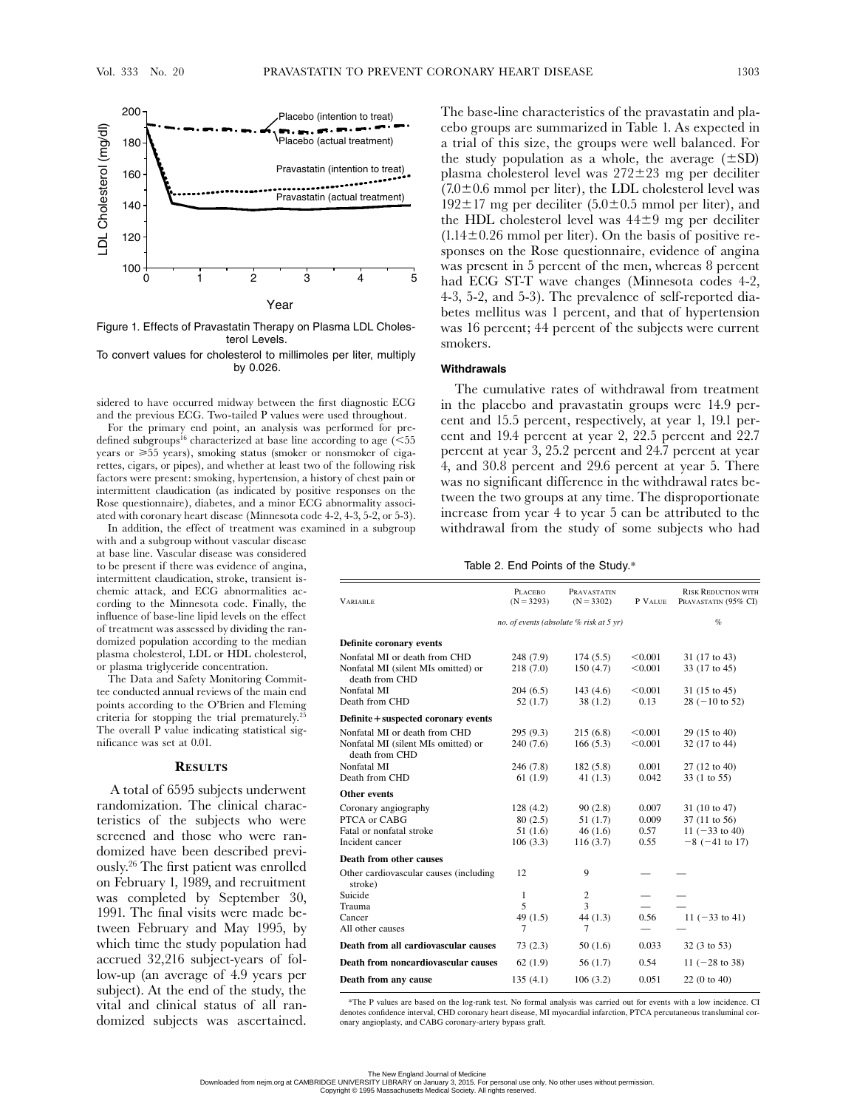

terol Levels.

To convert values for cholesterol to millimoles per liter, multiply by 0.026.

sidered to have occurred midway between the first diagnostic ECG and the previous ECG. Two-tailed P values were used throughout.

For the primary end point, an analysis was performed for predefined subgroups<sup>16</sup> characterized at base line according to age  $(<55$ years or 55 years), smoking status (smoker or nonsmoker of cigarettes, cigars, or pipes), and whether at least two of the following risk factors were present: smoking, hypertension, a history of chest pain or intermittent claudication (as indicated by positive responses on the Rose questionnaire), diabetes, and a minor ECG abnormality associated with coronary heart disease (Minnesota code 4-2, 4-3, 5-2, or 5-3). In addition, the effect of treatment was examined in a subgroup

with and a subgroup without vascular disease at base line. Vascular disease was considered to be present if there was evidence of angina, intermittent claudication, stroke, transient ischemic attack, and ECG abnormalities according to the Minnesota code. Finally, the influence of base-line lipid levels on the effect of treatment was assessed by dividing the randomized population according to the median plasma cholesterol, LDL or HDL cholesterol, or plasma triglyceride concentration.

The Data and Safety Monitoring Committee conducted annual reviews of the main end points according to the O'Brien and Fleming criteria for stopping the trial prematurely.<sup>2</sup> The overall P value indicating statistical significance was set at 0.01.

# **RESULTS**

A total of 6595 subjects underwent randomization. The clinical characteristics of the subjects who were screened and those who were randomized have been described previously.26 The first patient was enrolled on February 1, 1989, and recruitment was completed by September 30, 1991. The final visits were made between February and May 1995, by which time the study population had accrued 32,216 subject-years of follow-up (an average of 4.9 years per subject). At the end of the study, the vital and clinical status of all randomized subjects was ascertained. The base-line characteristics of the pravastatin and placebo groups are summarized in Table 1. As expected in a trial of this size, the groups were well balanced. For the study population as a whole, the average  $(\pm SD)$ plasma cholesterol level was 272±23 mg per deciliter  $(7.0 \pm 0.6$  mmol per liter), the LDL cholesterol level was  $192 \pm 17$  mg per deciliter  $(5.0 \pm 0.5$  mmol per liter), and the HDL cholesterol level was  $44\pm9$  mg per deciliter  $(1.14 \pm 0.26$  mmol per liter). On the basis of positive responses on the Rose questionnaire, evidence of angina was present in 5 percent of the men, whereas 8 percent had ECG ST-T wave changes (Minnesota codes 4-2, 4-3, 5-2, and 5-3). The prevalence of self-reported diabetes mellitus was 1 percent, and that of hypertension was 16 percent; 44 percent of the subjects were current smokers.

## **Withdrawals**

The cumulative rates of withdrawal from treatment in the placebo and pravastatin groups were 14.9 percent and 15.5 percent, respectively, at year 1, 19.1 percent and 19.4 percent at year 2, 22.5 percent and 22.7 percent at year 3, 25.2 percent and 24.7 percent at year 4, and 30.8 percent and 29.6 percent at year 5. There was no significant difference in the withdrawal rates between the two groups at any time. The disproportionate increase from year 4 to year 5 can be attributed to the withdrawal from the study of some subjects who had

| Table 2. End Points of the Study.* |  |
|------------------------------------|--|
|------------------------------------|--|

| <b>VARIABLE</b>                                       | <b>PLACERO</b><br>$(N = 3293)$ | PRAVASTATIN<br>$(N = 3302)$             | P VALUE | <b>RISK REDUCTION WITH</b><br>PRAVASTATIN (95% CI) |
|-------------------------------------------------------|--------------------------------|-----------------------------------------|---------|----------------------------------------------------|
|                                                       |                                | no. of events (absolute % risk at 5 yr) | $\%$    |                                                    |
| Definite coronary events                              |                                |                                         |         |                                                    |
| Nonfatal MI or death from CHD                         | 248 (7.9)                      | 174(5.5)                                | < 0.001 | 31 (17 to 43)                                      |
| Nonfatal MI (silent MIs omitted) or<br>death from CHD | 218 (7.0)                      | 150(4.7)                                | < 0.001 | 33 (17 to 45)                                      |
| Nonfatal MI                                           | 204(6.5)                       | 143(4.6)                                | < 0.001 | 31 (15 to 45)                                      |
| Death from CHD                                        | 52(1.7)                        | 38(1.2)                                 | 0.13    | $28 (-10 to 52)$                                   |
| Definite + suspected coronary events                  |                                |                                         |         |                                                    |
| Nonfatal MI or death from CHD                         | 295(9.3)                       | 215(6.8)                                | < 0.001 | 29 (15 to 40)                                      |
| Nonfatal MI (silent MIs omitted) or<br>death from CHD | 240 (7.6)                      | 166(5.3)                                | < 0.001 | 32 (17 to 44)                                      |
| Nonfatal MI                                           | 246 (7.8)                      | 182(5.8)                                | 0.001   | 27 (12 to 40)                                      |
| Death from CHD                                        | 61(1.9)                        | 41 $(1.3)$                              | 0.042   | 33 (1 to 55)                                       |
| Other events                                          |                                |                                         |         |                                                    |
| Coronary angiography                                  | 128(4.2)                       | 90(2.8)                                 | 0.007   | 31 (10 to 47)                                      |
| PTCA or CABG                                          | 80(2.5)                        | 51 (1.7)                                | 0.009   | 37 (11 to 56)                                      |
| Fatal or nonfatal stroke                              | 51(1.6)                        | 46(1.6)                                 | 0.57    | $11 (-33 to 40)$                                   |
| Incident cancer                                       | 106(3.3)                       | 116(3.7)                                | 0.55    | $-8$ ( $-41$ to 17)                                |
| Death from other causes                               |                                |                                         |         |                                                    |
| Other cardiovascular causes (including<br>stroke)     | 12                             | 9                                       |         |                                                    |
| Suicide                                               | 1                              | $\mathbf{2}$                            |         |                                                    |
| Trauma                                                | 5                              | 3                                       |         |                                                    |
| Cancer                                                | 49 $(1.5)$                     | 44(1.3)                                 | 0.56    | $11 (-33 to 41)$                                   |
| All other causes                                      | 7                              | 7                                       |         |                                                    |
| Death from all cardiovascular causes                  | 73(2.3)                        | 50 (1.6)                                | 0.033   | 32 (3 to 53)                                       |
| Death from noncardiovascular causes                   | 62(1.9)                        | 56 (1.7)                                | 0.54    | $11 (-28 to 38)$                                   |
| Death from any cause                                  | 135(4.1)                       | 106(3.2)                                | 0.051   | 22(0 to 40)                                        |

\*The P values are based on the log-rank test. No formal analysis was carried out for events with a low incidence. CI denotes confidence interval, CHD coronary heart disease, MI myocardial infarction, PTCA percutaneous transluminal coronary angioplasty, and CABG coronary-artery bypass graft.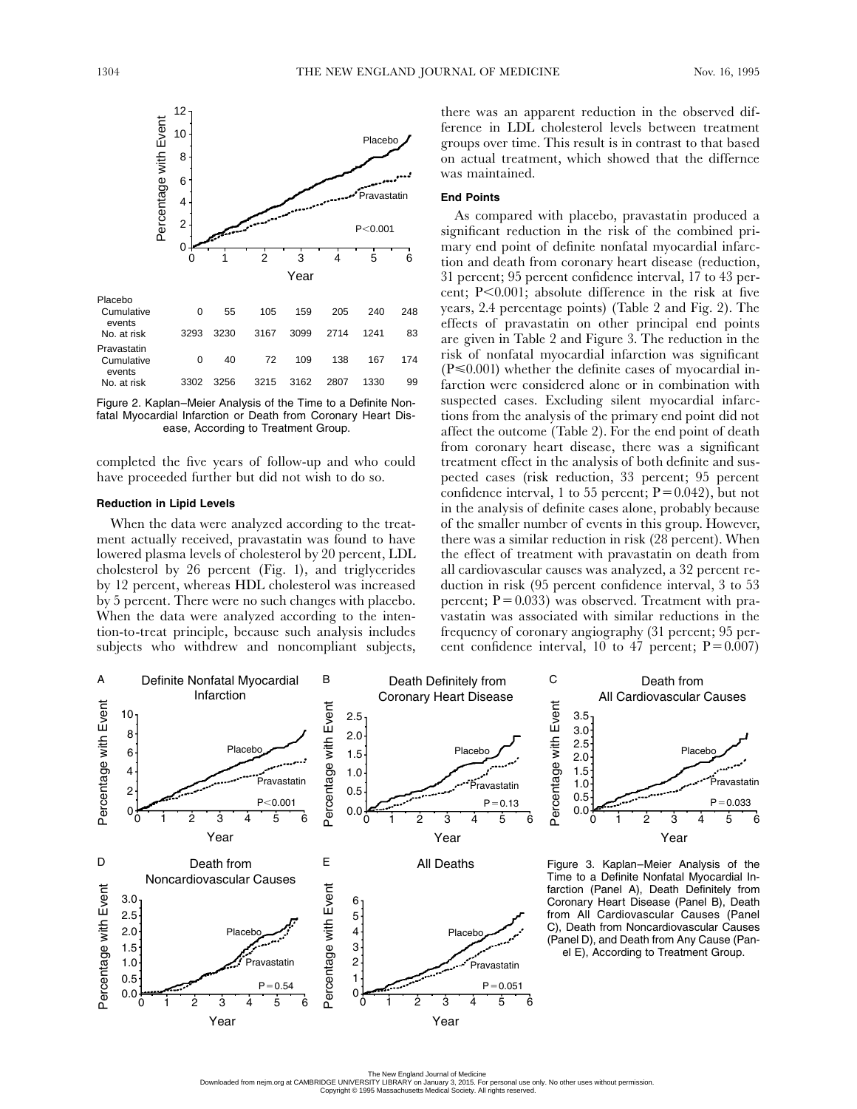

Figure 2. Kaplan–Meier Analysis of the Time to a Definite Nonease, According to Treatment Group.

completed the five years of follow-up and who could have proceeded further but did not wish to do so.

## **Reduction in Lipid Levels**

When the data were analyzed according to the treatment actually received, pravastatin was found to have lowered plasma levels of cholesterol by 20 percent, LDL cholesterol by 26 percent (Fig. 1), and triglycerides by 12 percent, whereas HDL cholesterol was increased by 5 percent. There were no such changes with placebo. When the data were analyzed according to the intention-to-treat principle, because such analysis includes subjects who withdrew and noncompliant subjects,

there was an apparent reduction in the observed difference in LDL cholesterol levels between treatment groups over time. This result is in contrast to that based on actual treatment, which showed that the differnce was maintained.

#### **End Points**

As compared with placebo, pravastatin produced a significant reduction in the risk of the combined primary end point of definite nonfatal myocardial infarction and death from coronary heart disease (reduction, 31 percent; 95 percent confidence interval, 17 to 43 percent;  $P<0.001$ ; absolute difference in the risk at five years, 2.4 percentage points) (Table 2 and Fig. 2). The effects of pravastatin on other principal end points are given in Table 2 and Figure 3. The reduction in the risk of nonfatal myocardial infarction was significant  $(P \le 0.001)$  whether the definite cases of myocardial infarction were considered alone or in combination with suspected cases. Excluding silent myocardial infarctions from the analysis of the primary end point did not affect the outcome (Table 2). For the end point of death from coronary heart disease, there was a significant treatment effect in the analysis of both definite and suspected cases (risk reduction, 33 percent; 95 percent confidence interval, 1 to 55 percent;  $P=0.042$ ), but not in the analysis of definite cases alone, probably because of the smaller number of events in this group. However, there was a similar reduction in risk (28 percent). When the effect of treatment with pravastatin on death from all cardiovascular causes was analyzed, a 32 percent reduction in risk (95 percent confidence interval, 3 to 53 percent;  $P=0.033$ ) was observed. Treatment with pravastatin was associated with similar reductions in the frequency of coronary angiography (31 percent; 95 percent confidence interval, 10 to 47 percent;  $P=0.007$ )



The New England Journal of Medicine<br>Downloaded from nejm.org at CAMBRIDGE UNIVERSITY LIBRARY on January 3, 2015. For personal use only. No other uses without permission. Copyright © 1995 Massachusetts Medical Society. All rights reserved.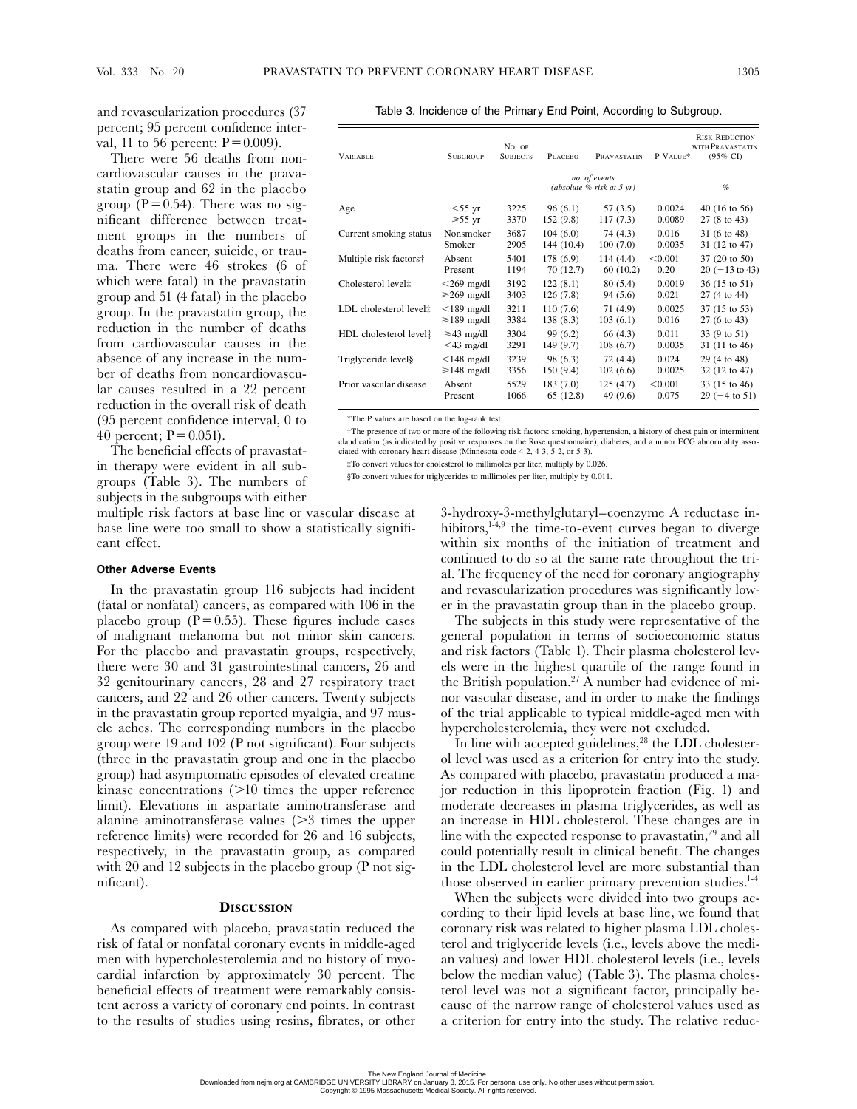and revascularization procedures (37 percent; 95 percent confidence interval, 11 to 56 percent;  $P=0.009$ ).

There were 56 deaths from noncardiovascular causes in the pravastatin group and 62 in the placebo group ( $P=0.54$ ). There was no significant difference between treatment groups in the numbers of deaths from cancer, suicide, or trauma. There were 46 strokes (6 of which were fatal) in the pravastatin group and 51 (4 fatal) in the placebo group. In the pravastatin group, the reduction in the number of deaths from cardiovascular causes in the absence of any increase in the number of deaths from noncardiovascular causes resulted in a 22 percent reduction in the overall risk of death (95 percent confidence interval, 0 to 40 percent;  $P = 0.051$ ).

The beneficial effects of pravastatin therapy were evident in all subgroups (Table 3). The numbers of subjects in the subgroups with either

multiple risk factors at base line or vascular disease at base line were too small to show a statistically significant effect.

## **Other Adverse Events**

In the pravastatin group 116 subjects had incident (fatal or nonfatal) cancers, as compared with 106 in the placebo group ( $P=0.55$ ). These figures include cases of malignant melanoma but not minor skin cancers. For the placebo and pravastatin groups, respectively, there were 30 and 31 gastrointestinal cancers, 26 and 32 genitourinary cancers, 28 and 27 respiratory tract cancers, and 22 and 26 other cancers. Twenty subjects in the pravastatin group reported myalgia, and 97 muscle aches. The corresponding numbers in the placebo group were 19 and 102 (P not significant). Four subjects (three in the pravastatin group and one in the placebo group) had asymptomatic episodes of elevated creatine kinase concentrations  $(>10$  times the upper reference limit). Elevations in aspartate aminotransferase and alanine aminotransferase values  $(>3$  times the upper reference limits) were recorded for 26 and 16 subjects, respectively, in the pravastatin group, as compared with 20 and 12 subjects in the placebo group (P not significant).

## **DISCUSSION**

As compared with placebo, pravastatin reduced the risk of fatal or nonfatal coronary events in middle-aged men with hypercholesterolemia and no history of myocardial infarction by approximately 30 percent. The beneficial effects of treatment were remarkably consistent across a variety of coronary end points. In contrast to the results of studies using resins, fibrates, or other

Table 3. Incidence of the Primary End Point, According to Subgroup.

| <b>VARIABLE</b>        | <b>SUBGROUP</b>  | $No.$ $OF$<br><b>SUBJECTS</b> | PLACEBO                                      | PRAVASTATIN | P VALUE* | <b>RISK REDUCTION</b><br>WITH PRAVASTATIN<br>$(95\% \text{ C}I)$ |
|------------------------|------------------|-------------------------------|----------------------------------------------|-------------|----------|------------------------------------------------------------------|
|                        |                  |                               | no. of events<br>(absolute $%$ risk at 5 yr) | $\%$        |          |                                                                  |
| Age                    | $<$ 55 yr        | 3225                          | 96(6.1)                                      | 57(3.5)     | 0.0024   | 40 (16 to 56)                                                    |
|                        | $≥55$ yr         | 3370                          | 152 (9.8)                                    | 117(7.3)    | 0.0089   | 27 (8 to 43)                                                     |
| Current smoking status | Nonsmoker        | 3687                          | 104(6.0)                                     | 74 (4.3)    | 0.016    | 31 (6 to 48)                                                     |
|                        | Smoker           | 2905                          | 144 (10.4)                                   | 100(7.0)    | 0.0035   | 31 (12 to 47)                                                    |
| Multiple risk factors† | Absent           | 5401                          | 178 (6.9)                                    | 114(4.4)    | < 0.001  | 37 (20 to 50)                                                    |
|                        | Present          | 1194                          | 70 (12.7)                                    | 60(10.2)    | 0.20     | $20 (-13 to 43)$                                                 |
| Cholesterol level#     | $<$ 269 mg/dl    | 3192                          | 122(8.1)                                     | 80(5.4)     | 0.0019   | 36 (15 to 51)                                                    |
|                        | $\geq$ 269 mg/dl | 3403                          | 126 (7.8)                                    | 94 (5.6)    | 0.021    | 27 (4 to 44)                                                     |
| LDL cholesterol level# | $<$ 189 mg/dl    | 3211                          | 110(7.6)                                     | 71 (4.9)    | 0.0025   | 37 (15 to 53)                                                    |
|                        | $\geq$ 189 mg/dl | 3384                          | 138 (8.3)                                    | 103(6.1)    | 0.016    | 27 (6 to 43)                                                     |
| HDL cholesterol level# | $\geq 43$ mg/dl  | 3304                          | 99 (6.2)                                     | 66 (4.3)    | 0.011    | 33 (9 to 51)                                                     |
|                        | $<$ 43 mg/dl     | 3291                          | 149 (9.7)                                    | 108(6.7)    | 0.0035   | 31 (11 to 46)                                                    |
| Triglyceride level§    | $<$ 148 mg/dl    | 3239                          | 98 (6.3)                                     | 72 (4.4)    | 0.024    | 29 (4 to 48)                                                     |
|                        | $\geq 148$ mg/dl | 3356                          | 150 (9.4)                                    | 102(6.6)    | 0.0025   | 32 (12 to 47)                                                    |
| Prior vascular disease | Absent           | 5529                          | 183 (7.0)                                    | 125(4.7)    | < 0.001  | 33 (15 to 46)                                                    |
|                        | Present          | 1066                          | 65 (12.8)                                    | 49 (9.6)    | 0.075    | $29(-4 \text{ to } 51)$                                          |

\*The P values are based on the log-rank test.

The presence of two or more of the following risk factors: smoking, hypertension, a history of chest pain or intermittent<br>claudication (as indicated by positive responses on the Rose questionnaire), diabetes, and a minor E ciated with coronary heart disease (Minnesota code 4-2, 4-3, 5-2, or 5-3).

‡To convert values for cholesterol to millimoles per liter, multiply by 0.026.

§To convert values for triglycerides to millimoles per liter, multiply by 0.011.

3-hydroxy-3-methylglutaryl–coenzyme A reductase inhibitors,<sup>14,9</sup> the time-to-event curves began to diverge within six months of the initiation of treatment and continued to do so at the same rate throughout the trial. The frequency of the need for coronary angiography and revascularization procedures was significantly lower in the pravastatin group than in the placebo group.

The subjects in this study were representative of the general population in terms of socioeconomic status and risk factors (Table 1). Their plasma cholesterol levels were in the highest quartile of the range found in the British population.<sup>27</sup> A number had evidence of minor vascular disease, and in order to make the findings of the trial applicable to typical middle-aged men with hypercholesterolemia, they were not excluded.

In line with accepted guidelines, $28$  the LDL cholesterol level was used as a criterion for entry into the study. As compared with placebo, pravastatin produced a major reduction in this lipoprotein fraction (Fig. 1) and moderate decreases in plasma triglycerides, as well as an increase in HDL cholesterol. These changes are in line with the expected response to pravastatin,<sup>29</sup> and all could potentially result in clinical benefit. The changes in the LDL cholesterol level are more substantial than those observed in earlier primary prevention studies.<sup>1-4</sup>

When the subjects were divided into two groups according to their lipid levels at base line, we found that coronary risk was related to higher plasma LDL cholesterol and triglyceride levels (i.e., levels above the median values) and lower HDL cholesterol levels (i.e., levels below the median value) (Table 3). The plasma cholesterol level was not a significant factor, principally because of the narrow range of cholesterol values used as a criterion for entry into the study. The relative reduc-

Copyright © 1995 Massachusetts Medical Society. All rights reserved.

The New England Journal of Medicine<br>Downloaded from nejm.org at CAMBRIDGE UNIVERSITY LIBRARY on January 3, 2015. For personal use only. No other uses without permission.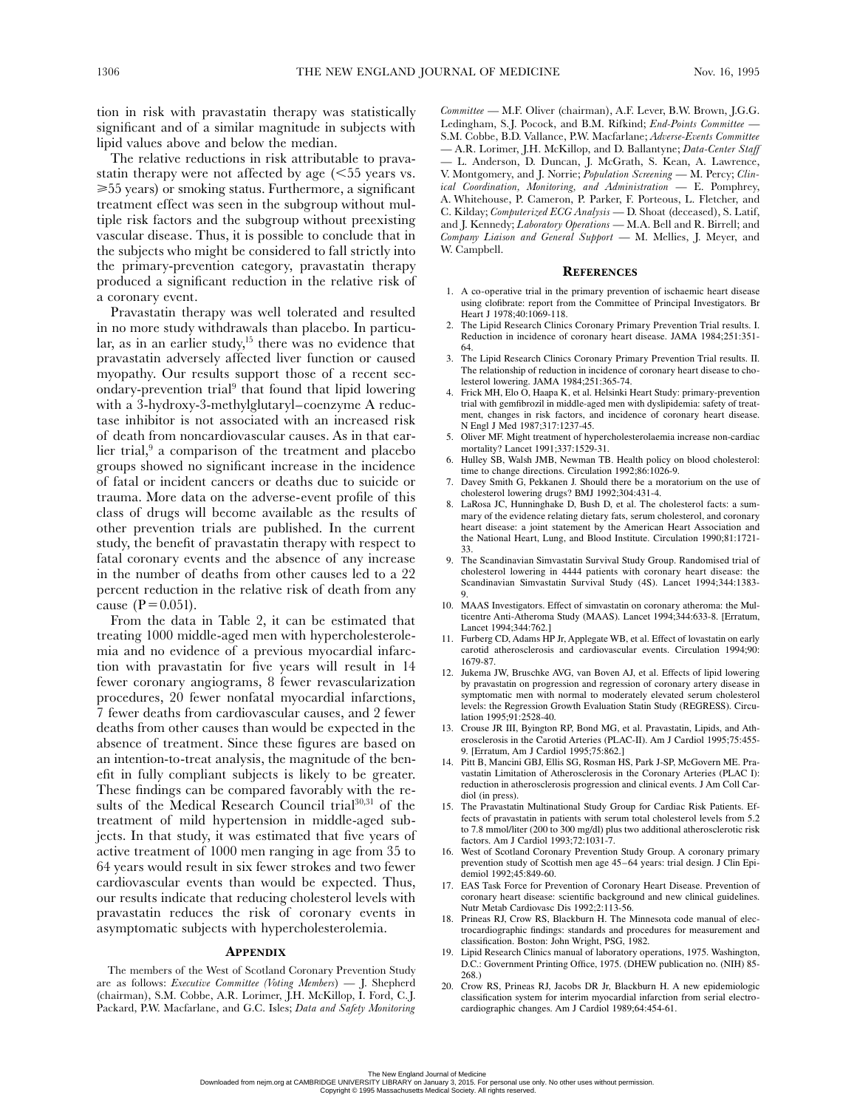tion in risk with pravastatin therapy was statistically significant and of a similar magnitude in subjects with lipid values above and below the median.

The relative reductions in risk attributable to pravastatin therapy were not affected by age  $\approx$  55 years vs.  $\geq 55$  years) or smoking status. Furthermore, a significant treatment effect was seen in the subgroup without multiple risk factors and the subgroup without preexisting vascular disease. Thus, it is possible to conclude that in the subjects who might be considered to fall strictly into the primary-prevention category, pravastatin therapy produced a significant reduction in the relative risk of a coronary event.

Pravastatin therapy was well tolerated and resulted in no more study withdrawals than placebo. In particular, as in an earlier study,<sup>15</sup> there was no evidence that pravastatin adversely affected liver function or caused myopathy. Our results support those of a recent secondary-prevention trial<sup>9</sup> that found that lipid lowering with a 3-hydroxy-3-methylglutaryl–coenzyme A reductase inhibitor is not associated with an increased risk of death from noncardiovascular causes. As in that earlier trial,<sup>9</sup> a comparison of the treatment and placebo groups showed no significant increase in the incidence of fatal or incident cancers or deaths due to suicide or trauma. More data on the adverse-event profile of this class of drugs will become available as the results of other prevention trials are published. In the current study, the benefit of pravastatin therapy with respect to fatal coronary events and the absence of any increase in the number of deaths from other causes led to a 22 percent reduction in the relative risk of death from any cause  $(P=0.051)$ .

From the data in Table 2, it can be estimated that treating 1000 middle-aged men with hypercholesterolemia and no evidence of a previous myocardial infarction with pravastatin for five years will result in 14 fewer coronary angiograms, 8 fewer revascularization procedures, 20 fewer nonfatal myocardial infarctions, 7 fewer deaths from cardiovascular causes, and 2 fewer deaths from other causes than would be expected in the absence of treatment. Since these figures are based on an intention-to-treat analysis, the magnitude of the benefit in fully compliant subjects is likely to be greater. These findings can be compared favorably with the results of the Medical Research Council trial<sup>30,31</sup> of the treatment of mild hypertension in middle-aged subjects. In that study, it was estimated that five years of active treatment of 1000 men ranging in age from 35 to 64 years would result in six fewer strokes and two fewer cardiovascular events than would be expected. Thus, our results indicate that reducing cholesterol levels with pravastatin reduces the risk of coronary events in asymptomatic subjects with hypercholesterolemia.

## **APPENDIX**

The members of the West of Scotland Coronary Prevention Study are as follows: *Executive Committee (Voting Members*) — J. Shepherd (chairman), S.M. Cobbe, A.R. Lorimer, J.H. McKillop, I. Ford, C.J. Packard, P.W. Macfarlane, and G.C. Isles; *Data and Safety Monitoring*

*Committee* — M.F. Oliver (chairman), A.F. Lever, B.W. Brown, J.G.G. Ledingham, S.J. Pocock, and B.M. Rifkind; *End-Points Committee* — S.M. Cobbe, B.D. Vallance, P.W. Macfarlane; *Adverse-Events Committee* — A.R. Lorimer, J.H. McKillop, and D. Ballantyne; *Data-Center Staff* — L. Anderson, D. Duncan, J. McGrath, S. Kean, A. Lawrence, V. Montgomery, and J. Norrie; *Population Screening* — M. Percy; *Clinical Coordination, Monitoring, and Administration* — E. Pomphrey, A. Whitehouse, P. Cameron, P. Parker, F. Porteous, L. Fletcher, and C. Kilday; *Computerized ECG Analysis* — D. Shoat (deceased), S. Latif, and J. Kennedy; *Laboratory Operations* — M.A. Bell and R. Birrell; and *Company Liaison and General Support* — M. Mellies, J. Meyer, and W. Campbell.

#### **REFERENCES**

- 1. A co-operative trial in the primary prevention of ischaemic heart disease using clofibrate: report from the Committee of Principal Investigators. Br Heart J 1978;40:1069-118.
- 2. The Lipid Research Clinics Coronary Primary Prevention Trial results. I. Reduction in incidence of coronary heart disease. JAMA 1984;251:351- 64.
- 3. The Lipid Research Clinics Coronary Primary Prevention Trial results. II. The relationship of reduction in incidence of coronary heart disease to cholesterol lowering. JAMA 1984;251:365-74.
- 4. Frick MH, Elo O, Haapa K, et al. Helsinki Heart Study: primary-prevention trial with gemfibrozil in middle-aged men with dyslipidemia: safety of treatment, changes in risk factors, and incidence of coronary heart disease. N Engl J Med 1987;317:1237-45.
- 5. Oliver MF. Might treatment of hypercholesterolaemia increase non-cardiac mortality? Lancet 1991;337:1529-31.
- 6. Hulley SB, Walsh JMB, Newman TB. Health policy on blood cholesterol: time to change directions. Circulation 1992;86:1026-9.
- Davey Smith G, Pekkanen J. Should there be a moratorium on the use of cholesterol lowering drugs? BMJ 1992;304:431-4.
- 8. LaRosa JC, Hunninghake D, Bush D, et al. The cholesterol facts: a summary of the evidence relating dietary fats, serum cholesterol, and coronary heart disease: a joint statement by the American Heart Association and the National Heart, Lung, and Blood Institute. Circulation 1990;81:1721- 33.
- 9. The Scandinavian Simvastatin Survival Study Group. Randomised trial of cholesterol lowering in 4444 patients with coronary heart disease: the Scandinavian Simvastatin Survival Study (4S). Lancet 1994;344:1383- 9.
- 10. MAAS Investigators. Effect of simvastatin on coronary atheroma: the Multicentre Anti-Atheroma Study (MAAS). Lancet 1994;344:633-8. [Erratum, Lancet 1994;344:762.]
- 11. Furberg CD, Adams HP Jr, Applegate WB, et al. Effect of lovastatin on early carotid atherosclerosis and cardiovascular events. Circulation 1994;90: 1679-87.
- 12. Jukema JW, Bruschke AVG, van Boven AJ, et al. Effects of lipid lowering by pravastatin on progression and regression of coronary artery disease in symptomatic men with normal to moderately elevated serum cholesterol levels: the Regression Growth Evaluation Statin Study (REGRESS). Circulation 1995;91:2528-40.
- 13. Crouse JR III, Byington RP, Bond MG, et al. Pravastatin, Lipids, and Atherosclerosis in the Carotid Arteries (PLAC-II). Am J Cardiol 1995;75:455- 9. [Erratum, Am J Cardiol 1995;75:862.]
- 14. Pitt B, Mancini GBJ, Ellis SG, Rosman HS, Park J-SP, McGovern ME. Pravastatin Limitation of Atherosclerosis in the Coronary Arteries (PLAC I): reduction in atherosclerosis progression and clinical events. J Am Coll Cardiol (in press).
- 15. The Pravastatin Multinational Study Group for Cardiac Risk Patients. Effects of pravastatin in patients with serum total cholesterol levels from 5.2 to 7.8 mmol/liter (200 to 300 mg/dl) plus two additional atherosclerotic risk factors. Am J Cardiol 1993;72:1031-7.
- 16. West of Scotland Coronary Prevention Study Group. A coronary primary prevention study of Scottish men age 45–64 years: trial design. J Clin Epidemiol 1992;45:849-60.
- 17. EAS Task Force for Prevention of Coronary Heart Disease. Prevention of coronary heart disease: scientific background and new clinical guidelines. Nutr Metab Cardiovasc Dis 1992;2:113-56.
- 18. Prineas RJ, Crow RS, Blackburn H. The Minnesota code manual of electrocardiographic findings: standards and procedures for measurement and classification. Boston: John Wright, PSG, 1982.
- 19. Lipid Research Clinics manual of laboratory operations, 1975. Washington, D.C.: Government Printing Office, 1975. (DHEW publication no. (NIH) 85- 268.)
- 20. Crow RS, Prineas RJ, Jacobs DR Jr, Blackburn H. A new epidemiologic classification system for interim myocardial infarction from serial electrocardiographic changes. Am J Cardiol 1989;64:454-61.

The New England Journal of Medicine<br>Downloaded from nejm.org at CAMBRIDGE UNIVERSITY LIBRARY on January 3, 2015. For personal use only. No other uses without permission.

Copyright © 1995 Massachusetts Medical Society. All rights reserved.